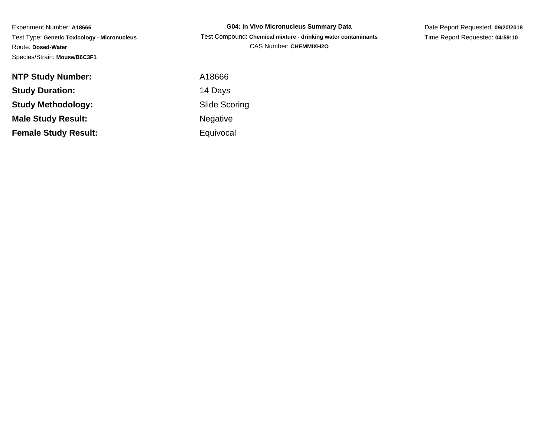Experiment Number: **A18666** Test Type: **Genetic Toxicology - Micronucleus**Route: **Dosed-Water**Species/Strain: **Mouse/B6C3F1**

**G04: In Vivo Micronucleus Summary Data** Test Compound: **Chemical mixture - drinking water contaminants**CAS Number: **CHEMMIXH2O**

Date Report Requested: **09/20/2018**Time Report Requested: **04:59:10**

| <b>NTP Study Number:</b>    |  |
|-----------------------------|--|
| <b>Study Duration:</b>      |  |
| <b>Study Methodology:</b>   |  |
| <b>Male Study Result:</b>   |  |
| <b>Female Study Result:</b> |  |

 A18666 14 Days Slide Scoring NegativeEquivocal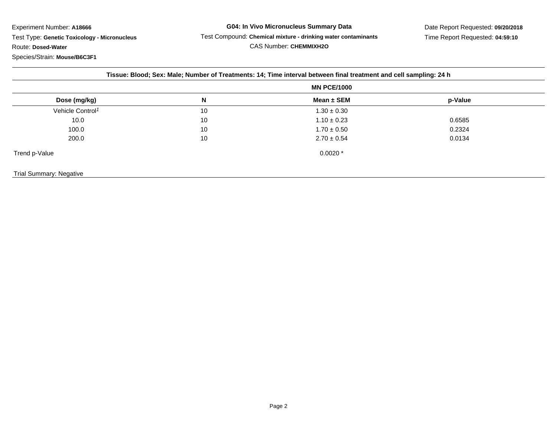Test Type: **Genetic Toxicology - Micronucleus**Route: **Dosed-Water**

Species/Strain: **Mouse/B6C3F1**

|                              | Tissue: Blood; Sex: Male; Number of Treatments: 14; Time interval between final treatment and cell sampling: 24 h |                    |         |  |  |
|------------------------------|-------------------------------------------------------------------------------------------------------------------|--------------------|---------|--|--|
|                              |                                                                                                                   | <b>MN PCE/1000</b> |         |  |  |
| Dose (mg/kg)                 | N                                                                                                                 | Mean $\pm$ SEM     | p-Value |  |  |
| Vehicle Control <sup>1</sup> | 10                                                                                                                | $1.30 \pm 0.30$    |         |  |  |
| 10.0                         | 10                                                                                                                | $1.10 \pm 0.23$    | 0.6585  |  |  |
| 100.0                        | 10                                                                                                                | $1.70 \pm 0.50$    | 0.2324  |  |  |
| 200.0                        | 10                                                                                                                | $2.70 \pm 0.54$    | 0.0134  |  |  |
| Trend p-Value                |                                                                                                                   | $0.0020*$          |         |  |  |
| Trial Summary: Negative      |                                                                                                                   |                    |         |  |  |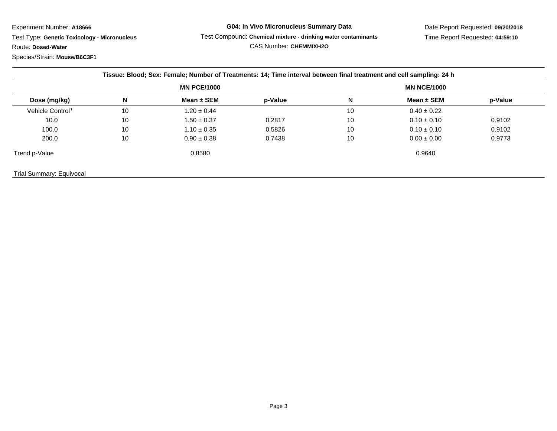Test Type: **Genetic Toxicology - Micronucleus**

Route: **Dosed-Water**

Species/Strain: **Mouse/B6C3F1**

## **G04: In Vivo Micronucleus Summary Data** Test Compound: **Chemical mixture - drinking water contaminants**CAS Number: **CHEMMIXH2O**

|                              | <b>MN PCE/1000</b> |                 |         | <b>MN NCE/1000</b> |                 |         |  |
|------------------------------|--------------------|-----------------|---------|--------------------|-----------------|---------|--|
| Dose (mg/kg)                 | N                  | Mean $\pm$ SEM  | p-Value | N                  | Mean $\pm$ SEM  | p-Value |  |
| Vehicle Control <sup>1</sup> | 10                 | $1.20 \pm 0.44$ |         | 10                 | $0.40 \pm 0.22$ |         |  |
| 10.0                         | 10                 | $1.50 \pm 0.37$ | 0.2817  | 10                 | $0.10 \pm 0.10$ | 0.9102  |  |
| 100.0                        | 10                 | $1.10 \pm 0.35$ | 0.5826  | 10                 | $0.10 \pm 0.10$ | 0.9102  |  |
| 200.0                        | 10                 | $0.90 \pm 0.38$ | 0.7438  | 10                 | $0.00 \pm 0.00$ | 0.9773  |  |
| Trend p-Value                |                    | 0.8580          |         |                    | 0.9640          |         |  |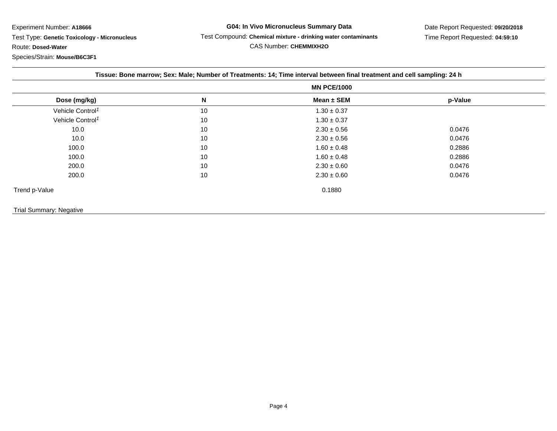Test Type: **Genetic Toxicology - Micronucleus**

Route: **Dosed-Water**

Species/Strain: **Mouse/B6C3F1**

**G04: In Vivo Micronucleus Summary Data** Test Compound: **Chemical mixture - drinking water contaminants**CAS Number: **CHEMMIXH2O**

|                                | <b>MN PCE/1000</b> |                 |         |  |  |
|--------------------------------|--------------------|-----------------|---------|--|--|
| Dose (mg/kg)                   | N                  | Mean $\pm$ SEM  | p-Value |  |  |
| Vehicle Control <sup>1</sup>   | 10                 | $1.30 \pm 0.37$ |         |  |  |
| Vehicle Control <sup>1</sup>   | 10                 | $1.30 \pm 0.37$ |         |  |  |
| 10.0                           | 10                 | $2.30 \pm 0.56$ | 0.0476  |  |  |
| 10.0                           | 10                 | $2.30 \pm 0.56$ | 0.0476  |  |  |
| 100.0                          | 10                 | $1.60 \pm 0.48$ | 0.2886  |  |  |
| 100.0                          | 10                 | $1.60 \pm 0.48$ | 0.2886  |  |  |
| 200.0                          | 10                 | $2.30 \pm 0.60$ | 0.0476  |  |  |
| 200.0                          | 10                 | $2.30 \pm 0.60$ | 0.0476  |  |  |
| Trend p-Value                  |                    | 0.1880          |         |  |  |
| <b>Trial Summary: Negative</b> |                    |                 |         |  |  |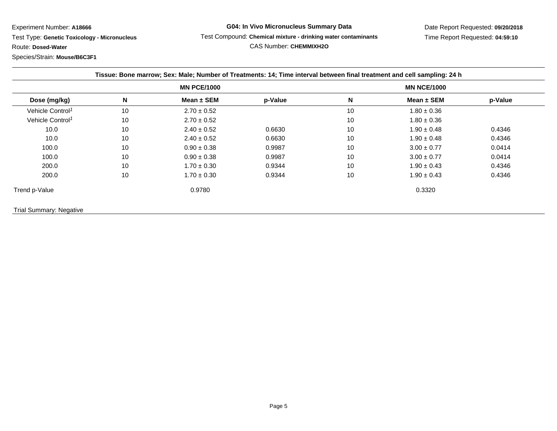Test Type: **Genetic Toxicology - Micronucleus**

Route: **Dosed-Water**

Species/Strain: **Mouse/B6C3F1**

## **G04: In Vivo Micronucleus Summary Data** Test Compound: **Chemical mixture - drinking water contaminants**CAS Number: **CHEMMIXH2O**

|                              |    | <b>MN PCE/1000</b> |         |    | <b>MN NCE/1000</b> |         |
|------------------------------|----|--------------------|---------|----|--------------------|---------|
| Dose (mg/kg)                 | N  | Mean $\pm$ SEM     | p-Value | N  | Mean $\pm$ SEM     | p-Value |
| Vehicle Control <sup>1</sup> | 10 | $2.70 \pm 0.52$    |         | 10 | $1.80 \pm 0.36$    |         |
| Vehicle Control <sup>1</sup> | 10 | $2.70 \pm 0.52$    |         | 10 | $1.80 \pm 0.36$    |         |
| 10.0                         | 10 | $2.40 \pm 0.52$    | 0.6630  | 10 | $1.90 \pm 0.48$    | 0.4346  |
| 10.0                         | 10 | $2.40 \pm 0.52$    | 0.6630  | 10 | $1.90 \pm 0.48$    | 0.4346  |
| 100.0                        | 10 | $0.90 \pm 0.38$    | 0.9987  | 10 | $3.00 \pm 0.77$    | 0.0414  |
| 100.0                        | 10 | $0.90 \pm 0.38$    | 0.9987  | 10 | $3.00 \pm 0.77$    | 0.0414  |
| 200.0                        | 10 | $1.70 \pm 0.30$    | 0.9344  | 10 | $1.90 \pm 0.43$    | 0.4346  |
| 200.0                        | 10 | $1.70 \pm 0.30$    | 0.9344  | 10 | $1.90 \pm 0.43$    | 0.4346  |
| Trend p-Value                |    | 0.9780             |         |    | 0.3320             |         |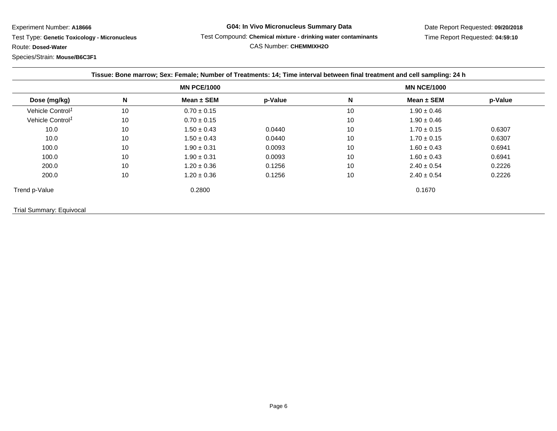Test Type: **Genetic Toxicology - Micronucleus**

Route: **Dosed-Water**

Species/Strain: **Mouse/B6C3F1**

## **G04: In Vivo Micronucleus Summary Data** Test Compound: **Chemical mixture - drinking water contaminants**CAS Number: **CHEMMIXH2O**

|                              |    | <b>MN PCE/1000</b> |         |    | <b>MN NCE/1000</b> |         |
|------------------------------|----|--------------------|---------|----|--------------------|---------|
| Dose (mg/kg)                 | N  | Mean $\pm$ SEM     | p-Value | N  | Mean ± SEM         | p-Value |
| Vehicle Control <sup>1</sup> | 10 | $0.70 \pm 0.15$    |         | 10 | $1.90 \pm 0.46$    |         |
| Vehicle Control <sup>1</sup> | 10 | $0.70 \pm 0.15$    |         | 10 | $1.90 \pm 0.46$    |         |
| 10.0                         | 10 | $1.50 \pm 0.43$    | 0.0440  | 10 | $1.70 \pm 0.15$    | 0.6307  |
| 10.0                         | 10 | $1.50 \pm 0.43$    | 0.0440  | 10 | $1.70 \pm 0.15$    | 0.6307  |
| 100.0                        | 10 | $1.90 \pm 0.31$    | 0.0093  | 10 | $1.60 \pm 0.43$    | 0.6941  |
| 100.0                        | 10 | $1.90 \pm 0.31$    | 0.0093  | 10 | $1.60 \pm 0.43$    | 0.6941  |
| 200.0                        | 10 | $1.20 \pm 0.36$    | 0.1256  | 10 | $2.40 \pm 0.54$    | 0.2226  |
| 200.0                        | 10 | $1.20 \pm 0.36$    | 0.1256  | 10 | $2.40 \pm 0.54$    | 0.2226  |
| Trend p-Value                |    | 0.2800             |         |    | 0.1670             |         |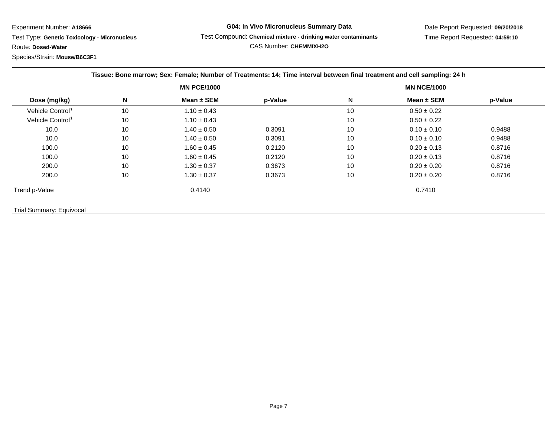Test Type: **Genetic Toxicology - Micronucleus**

Route: **Dosed-Water**

Species/Strain: **Mouse/B6C3F1**

## **G04: In Vivo Micronucleus Summary Data** Test Compound: **Chemical mixture - drinking water contaminants**CAS Number: **CHEMMIXH2O**

|                              |    | <b>MN PCE/1000</b> |         |    | <b>MN NCE/1000</b> |         |
|------------------------------|----|--------------------|---------|----|--------------------|---------|
| Dose (mg/kg)                 | N  | Mean $\pm$ SEM     | p-Value | N  | Mean $\pm$ SEM     | p-Value |
| Vehicle Control <sup>1</sup> | 10 | $1.10 \pm 0.43$    |         | 10 | $0.50 \pm 0.22$    |         |
| Vehicle Control <sup>1</sup> | 10 | $1.10 \pm 0.43$    |         | 10 | $0.50 \pm 0.22$    |         |
| 10.0                         | 10 | $1.40 \pm 0.50$    | 0.3091  | 10 | $0.10 \pm 0.10$    | 0.9488  |
| 10.0                         | 10 | $1.40 \pm 0.50$    | 0.3091  | 10 | $0.10 \pm 0.10$    | 0.9488  |
| 100.0                        | 10 | $1.60 \pm 0.45$    | 0.2120  | 10 | $0.20 \pm 0.13$    | 0.8716  |
| 100.0                        | 10 | $1.60 \pm 0.45$    | 0.2120  | 10 | $0.20 \pm 0.13$    | 0.8716  |
| 200.0                        | 10 | $1.30 \pm 0.37$    | 0.3673  | 10 | $0.20 \pm 0.20$    | 0.8716  |
| 200.0                        | 10 | $1.30 \pm 0.37$    | 0.3673  | 10 | $0.20 \pm 0.20$    | 0.8716  |
| Trend p-Value                |    | 0.4140             |         |    | 0.7410             |         |